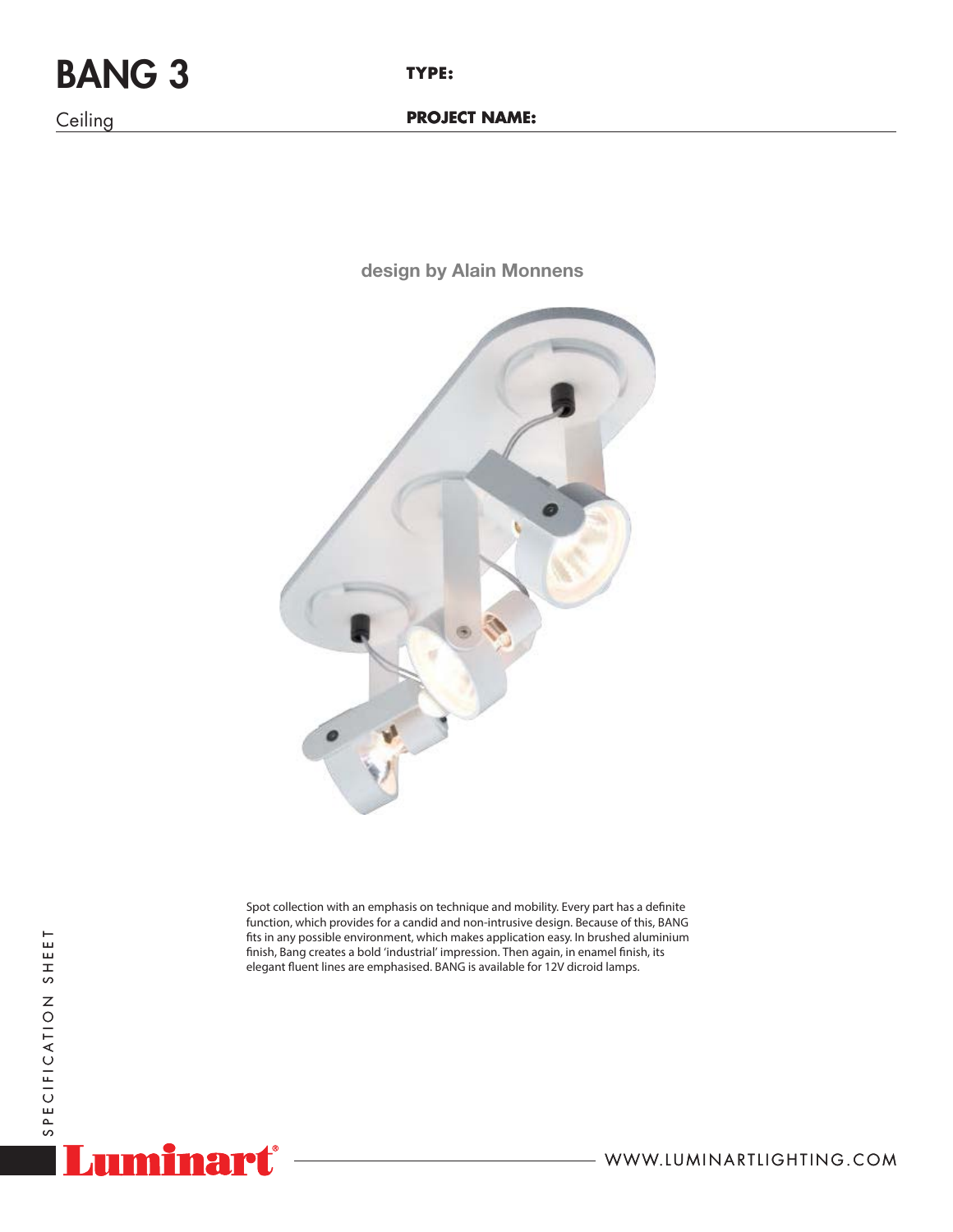## BANG 3

**Ceiling** 

**design by Alain Monnens**



Spot collection with an emphasis on technique and mobility. Every part has a definite function, which provides for a candid and non-intrusive design. Because of this, BANG fits in any possible environment, which makes application easy. In brushed aluminium finish, Bang creates a bold 'industrial' impression. Then again, in enamel finish, its elegant fluent lines are emphasised. BANG is available for 12V dicroid lamps.



WWW.LUMINARTLIGHTING.COM